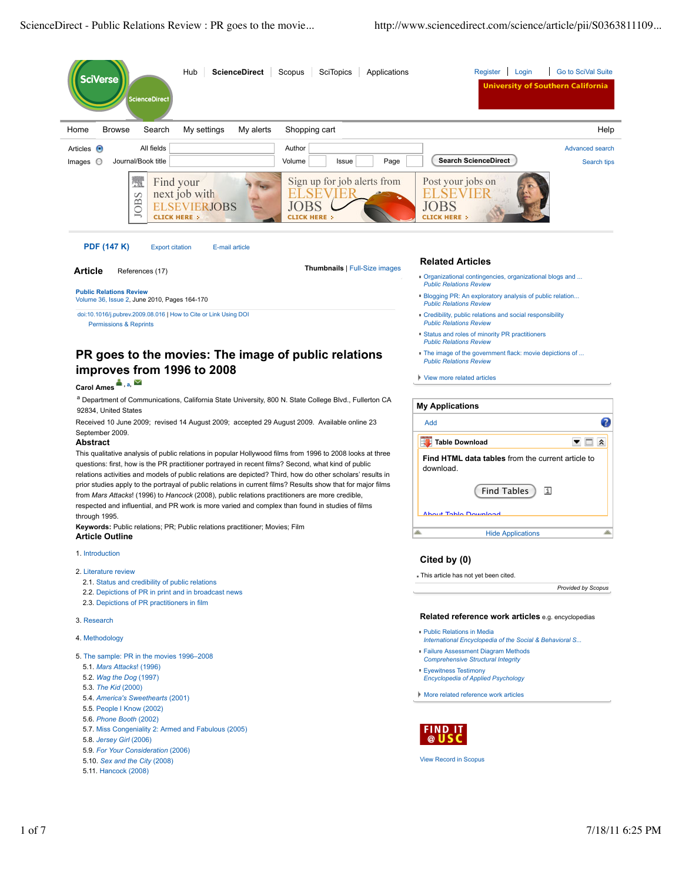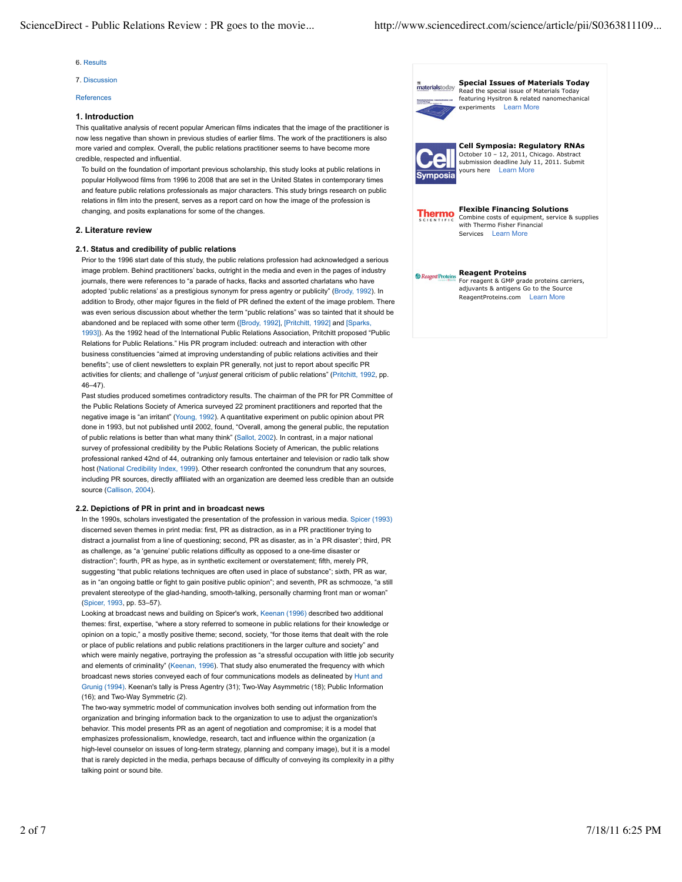# 6. Results

7. Discussion

#### References

## **1. Introduction**

This qualitative analysis of recent popular American films indicates that the image of the practitioner is now less negative than shown in previous studies of earlier films. The work of the practitioners is also more varied and complex. Overall, the public relations practitioner seems to have become more credible, respected and influential.

To build on the foundation of important previous scholarship, this study looks at public relations in popular Hollywood films from 1996 to 2008 that are set in the United States in contemporary times and feature public relations professionals as major characters. This study brings research on public relations in film into the present, serves as a report card on how the image of the profession is changing, and posits explanations for some of the changes.

## **2. Literature review**

## **2.1. Status and credibility of public relations**

Prior to the 1996 start date of this study, the public relations profession had acknowledged a serious image problem. Behind practitioners' backs, outright in the media and even in the pages of industry journals, there were references to "a parade of hacks, flacks and assorted charlatans who have adopted 'public relations' as a prestigious synonym for press agentry or publicity" (Brody, 1992). In addition to Brody, other major figures in the field of PR defined the extent of the image problem. There was even serious discussion about whether the term "public relations" was so tainted that it should be abandoned and be replaced with some other term ([Brody, 1992], [Pritchitt, 1992] and [Sparks, 1993]). As the 1992 head of the International Public Relations Association, Pritchitt proposed "Public Relations for Public Relations." His PR program included: outreach and interaction with other business constituencies "aimed at improving understanding of public relations activities and their benefits"; use of client newsletters to explain PR generally, not just to report about specific PR activities for clients; and challenge of "*unjust* general criticism of public relations" (Pritchitt, 1992, pp. 46–47).

Past studies produced sometimes contradictory results. The chairman of the PR for PR Committee of the Public Relations Society of America surveyed 22 prominent practitioners and reported that the negative image is "an irritant" (Young, 1992). A quantitative experiment on public opinion about PR done in 1993, but not published until 2002, found, "Overall, among the general public, the reputation of public relations is better than what many think" (Sallot, 2002). In contrast, in a major national survey of professional credibility by the Public Relations Society of American, the public relations professional ranked 42nd of 44, outranking only famous entertainer and television or radio talk show host (National Credibility Index, 1999). Other research confronted the conundrum that any sources, including PR sources, directly affiliated with an organization are deemed less credible than an outside source (Callison, 2004).

## **2.2. Depictions of PR in print and in broadcast news**

In the 1990s, scholars investigated the presentation of the profession in various media. Spicer (1993) discerned seven themes in print media: first, PR as distraction, as in a PR practitioner trying to distract a journalist from a line of questioning; second, PR as disaster, as in 'a PR disaster'; third, PR as challenge, as "a 'genuine' public relations difficulty as opposed to a one-time disaster or distraction"; fourth, PR as hype, as in synthetic excitement or overstatement; fifth, merely PR, suggesting "that public relations techniques are often used in place of substance"; sixth, PR as war, as in "an ongoing battle or fight to gain positive public opinion"; and seventh, PR as schmooze, "a still prevalent stereotype of the glad-handing, smooth-talking, personally charming front man or woman" (Spicer, 1993, pp. 53–57).

Looking at broadcast news and building on Spicer's work, Keenan (1996) described two additional themes: first, expertise, "where a story referred to someone in public relations for their knowledge or opinion on a topic," a mostly positive theme; second, society, "for those items that dealt with the role or place of public relations and public relations practitioners in the larger culture and society" and which were mainly negative, portraying the profession as "a stressful occupation with little job security and elements of criminality" (Keenan, 1996). That study also enumerated the frequency with which broadcast news stories conveyed each of four communications models as delineated by Hunt and Grunig (1994). Keenan's tally is Press Agentry (31); Two-Way Asymmetric (18); Public Information (16); and Two-Way Symmetric (2).

The two-way symmetric model of communication involves both sending out information from the organization and bringing information back to the organization to use to adjust the organization's behavior. This model presents PR as an agent of negotiation and compromise; it is a model that emphasizes professionalism, knowledge, research, tact and influence within the organization (a high-level counselor on issues of long-term strategy, planning and company image), but it is a model that is rarely depicted in the media, perhaps because of difficulty of conveying its complexity in a pithy talking point or sound bite.



materialstoday

**Cell Symposia: Regulatory RNAs** October  $10 - 12$ ,  $2011$ , Chicago. Abstr submission deadline July 11, 2011. Submit yours here Learn More ymposia

**Special Issues of Materials Today** Read the special issue of Materials Today featuring Hysitron & related nanomechanical

experiments Learn More



**Flexible Financing Solutions** Combine costs of equipment, service & supplies with Thermo Fisher Financial Services Learn More

**Reagent Proteins** Reagent Proteins For reagent & GMP grade proteins carriers, adjuvants & antigens Go to the Source ReagentProteins.com Learn More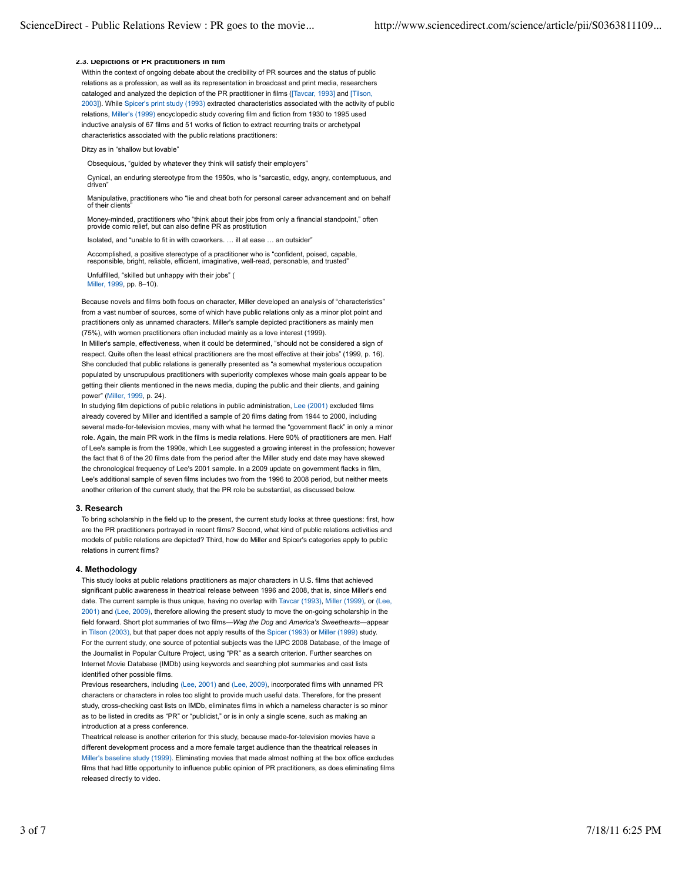## **2.3. Depictions of PR practitioners in film**

Within the context of ongoing debate about the credibility of PR sources and the status of public relations as a profession, as well as its representation in broadcast and print media, researchers cataloged and analyzed the depiction of the PR practitioner in films ([Tavcar, 1993] and [Tilson, 2003]). While Spicer's print study (1993) extracted characteristics associated with the activity of public relations, Miller's (1999) encyclopedic study covering film and fiction from 1930 to 1995 used inductive analysis of 67 films and 51 works of fiction to extract recurring traits or archetypal characteristics associated with the public relations practitioners:

Ditzy as in "shallow but lovable"

Obsequious, "guided by whatever they think will satisfy their employers"

Cynical, an enduring stereotype from the 1950s, who is "sarcastic, edgy, angry, contemptuous, and driven"

Manipulative, practitioners who "lie and cheat both for personal career advancement and on behalf of their clients"

Money-minded, practitioners who "think about their jobs from only a financial standpoint," often provide comic relief, but can also define PR as prostitution

Isolated, and "unable to fit in with coworkers. ... ill at ease ... an outsider

Accomplished, a positive stereotype of a practitioner who is "confident, poised, capable, responsible, bright, reliable, efficient, imaginative, well-read, personable, and trusted"

Unfulfilled, "skilled but unhappy with their jobs" ( Miller, 1999, pp. 8–10).

Because novels and films both focus on character, Miller developed an analysis of "characteristics" from a vast number of sources, some of which have public relations only as a minor plot point and practitioners only as unnamed characters. Miller's sample depicted practitioners as mainly men (75%), with women practitioners often included mainly as a love interest (1999).

In Miller's sample, effectiveness, when it could be determined, "should not be considered a sign of respect. Quite often the least ethical practitioners are the most effective at their jobs" (1999, p. 16). She concluded that public relations is generally presented as "a somewhat mysterious occupation populated by unscrupulous practitioners with superiority complexes whose main goals appear to be getting their clients mentioned in the news media, duping the public and their clients, and gaining power" (Miller, 1999, p. 24).

In studying film depictions of public relations in public administration, Lee (2001) excluded films already covered by Miller and identified a sample of 20 films dating from 1944 to 2000, including several made-for-television movies, many with what he termed the "government flack" in only a minor role. Again, the main PR work in the films is media relations. Here 90% of practitioners are men. Half of Lee's sample is from the 1990s, which Lee suggested a growing interest in the profession; however the fact that 6 of the 20 films date from the period after the Miller study end date may have skewed the chronological frequency of Lee's 2001 sample. In a 2009 update on government flacks in film, Lee's additional sample of seven films includes two from the 1996 to 2008 period, but neither meets another criterion of the current study, that the PR role be substantial, as discussed below.

#### **3. Research**

To bring scholarship in the field up to the present, the current study looks at three questions: first, how are the PR practitioners portrayed in recent films? Second, what kind of public relations activities and models of public relations are depicted? Third, how do Miller and Spicer's categories apply to public relations in current films?

#### **4. Methodology**

This study looks at public relations practitioners as major characters in U.S. films that achieved significant public awareness in theatrical release between 1996 and 2008, that is, since Miller's end date. The current sample is thus unique, having no overlap with Tavcar (1993), Miller (1999), or (Lee, 2001) and (Lee, 2009), therefore allowing the present study to move the on-going scholarship in the field forward. Short plot summaries of two films—*Wag the Dog* and *America's Sweethearts*—appear in Tilson (2003), but that paper does not apply results of the Spicer (1993) or Miller (1999) study. For the current study, one source of potential subjects was the IJPC 2008 Database, of the Image of the Journalist in Popular Culture Project, using "PR" as a search criterion. Further searches on Internet Movie Database (IMDb) using keywords and searching plot summaries and cast lists identified other possible films.

Previous researchers, including (Lee, 2001) and (Lee, 2009), incorporated films with unnamed PR characters or characters in roles too slight to provide much useful data. Therefore, for the present study, cross-checking cast lists on IMDb, eliminates films in which a nameless character is so minor as to be listed in credits as "PR" or "publicist," or is in only a single scene, such as making an introduction at a press conference.

Theatrical release is another criterion for this study, because made-for-television movies have a different development process and a more female target audience than the theatrical releases in Miller's baseline study (1999). Eliminating movies that made almost nothing at the box office excludes films that had little opportunity to influence public opinion of PR practitioners, as does eliminating films released directly to video.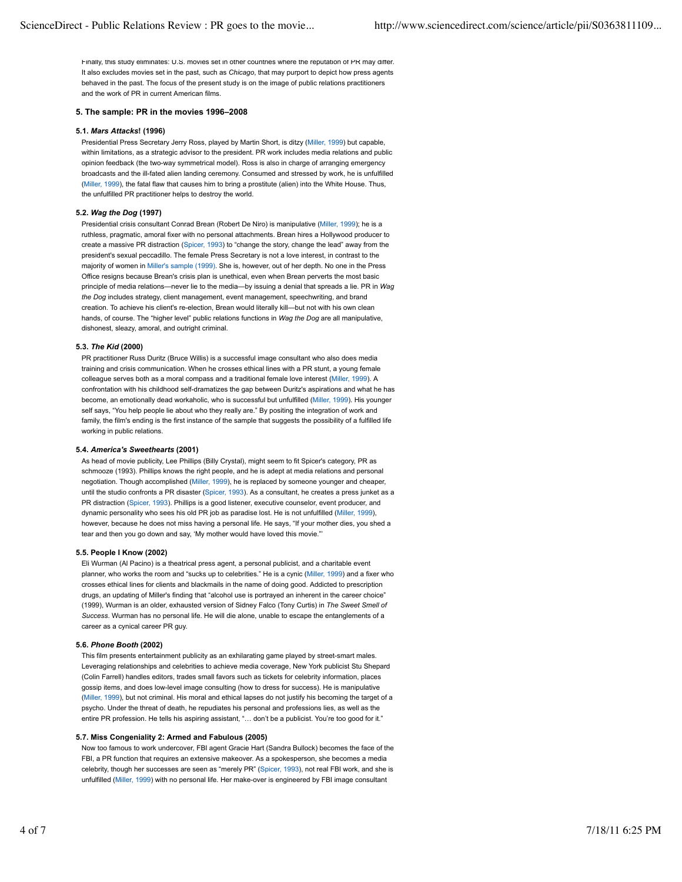Finally, this study eliminates: U.S. movies set in other countries where the reputation of PR may differ. It also excludes movies set in the past, such as *Chicago*, that may purport to depict how press agents behaved in the past. The focus of the present study is on the image of public relations practitioners and the work of PR in current American films.

## **5. The sample: PR in the movies 1996–2008**

## **5.1.** *Mars Attacks***! (1996)**

Presidential Press Secretary Jerry Ross, played by Martin Short, is ditzy (Miller, 1999) but capable, within limitations, as a strategic advisor to the president. PR work includes media relations and public opinion feedback (the two-way symmetrical model). Ross is also in charge of arranging emergency broadcasts and the ill-fated alien landing ceremony. Consumed and stressed by work, he is unfulfilled (Miller, 1999), the fatal flaw that causes him to bring a prostitute (alien) into the White House. Thus, the unfulfilled PR practitioner helps to destroy the world.

## **5.2.** *Wag the Dog* **(1997)**

Presidential crisis consultant Conrad Brean (Robert De Niro) is manipulative (Miller, 1999); he is a ruthless, pragmatic, amoral fixer with no personal attachments. Brean hires a Hollywood producer to create a massive PR distraction (Spicer, 1993) to "change the story, change the lead" away from the president's sexual peccadillo. The female Press Secretary is not a love interest, in contrast to the majority of women in Miller's sample (1999). She is, however, out of her depth. No one in the Press Office resigns because Brean's crisis plan is unethical, even when Brean perverts the most basic principle of media relations—never lie to the media—by issuing a denial that spreads a lie. PR in *Wag the Dog* includes strategy, client management, event management, speechwriting, and brand creation. To achieve his client's re-election, Brean would literally kill—but not with his own clean hands, of course. The "higher level" public relations functions in *Wag the Dog* are all manipulative, dishonest, sleazy, amoral, and outright criminal.

## **5.3.** *The Kid* **(2000)**

PR practitioner Russ Duritz (Bruce Willis) is a successful image consultant who also does media training and crisis communication. When he crosses ethical lines with a PR stunt, a young female colleague serves both as a moral compass and a traditional female love interest (Miller, 1999). A confrontation with his childhood self-dramatizes the gap between Duritz's aspirations and what he has become, an emotionally dead workaholic, who is successful but unfulfilled (Miller, 1999). His younger self says, "You help people lie about who they really are." By positing the integration of work and family, the film's ending is the first instance of the sample that suggests the possibility of a fulfilled life working in public relations.

#### **5.4.** *America's Sweethearts* **(2001)**

As head of movie publicity, Lee Phillips (Billy Crystal), might seem to fit Spicer's category, PR as schmooze (1993). Phillips knows the right people, and he is adept at media relations and personal negotiation. Though accomplished (Miller, 1999), he is replaced by someone younger and cheaper, until the studio confronts a PR disaster (Spicer, 1993). As a consultant, he creates a press junket as a PR distraction (Spicer, 1993). Phillips is a good listener, executive counselor, event producer, and dynamic personality who sees his old PR job as paradise lost. He is not unfulfilled (Miller, 1999), however, because he does not miss having a personal life. He says, "If your mother dies, you shed a tear and then you go down and say, 'My mother would have loved this movie."'

### **5.5. People I Know (2002)**

Eli Wurman (Al Pacino) is a theatrical press agent, a personal publicist, and a charitable event planner, who works the room and "sucks up to celebrities." He is a cynic (Miller, 1999) and a fixer who crosses ethical lines for clients and blackmails in the name of doing good. Addicted to prescription drugs, an updating of Miller's finding that "alcohol use is portrayed an inherent in the career choice" (1999), Wurman is an older, exhausted version of Sidney Falco (Tony Curtis) in *The Sweet Smell of Success*. Wurman has no personal life. He will die alone, unable to escape the entanglements of a career as a cynical career PR guy.

## **5.6.** *Phone Booth* **(2002)**

This film presents entertainment publicity as an exhilarating game played by street-smart males. Leveraging relationships and celebrities to achieve media coverage, New York publicist Stu Shepard (Colin Farrell) handles editors, trades small favors such as tickets for celebrity information, places gossip items, and does low-level image consulting (how to dress for success). He is manipulative (Miller, 1999), but not criminal. His moral and ethical lapses do not justify his becoming the target of a psycho. Under the threat of death, he repudiates his personal and professions lies, as well as the entire PR profession. He tells his aspiring assistant, "... don't be a publicist. You're too good for it."

#### **5.7. Miss Congeniality 2: Armed and Fabulous (2005)**

Now too famous to work undercover, FBI agent Gracie Hart (Sandra Bullock) becomes the face of the FBI, a PR function that requires an extensive makeover. As a spokesperson, she becomes a media celebrity, though her successes are seen as "merely PR" (Spicer, 1993), not real FBI work, and she is unfulfilled (Miller, 1999) with no personal life. Her make-over is engineered by FBI image consultant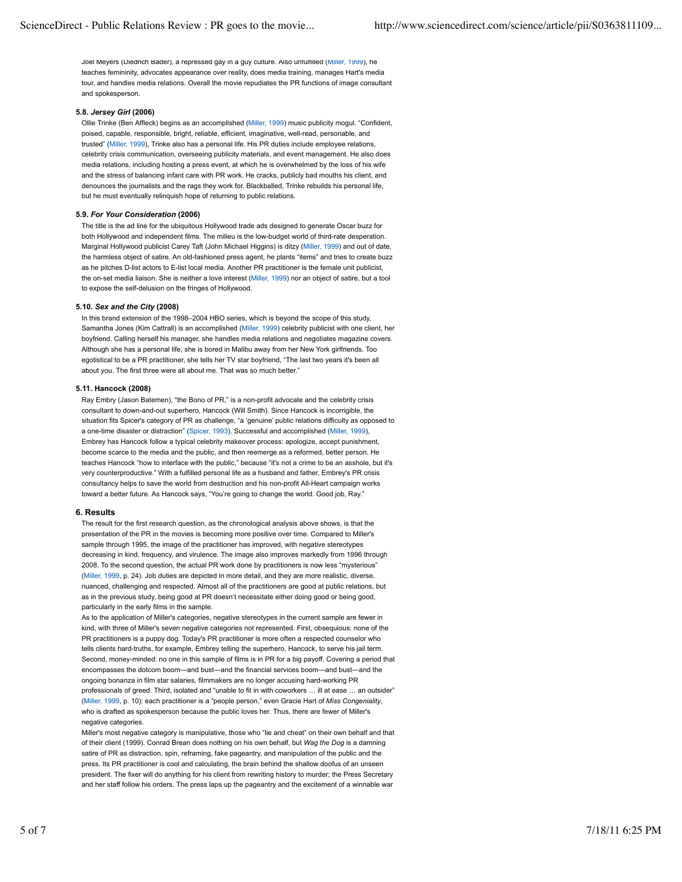Joel Meyers (Diedrich Bader), a repressed gay in a guy culture. Also unfulfilled (Miller, 1999), he teaches femininity, advocates appearance over reality, does media training, manages Hart's media tour, and handles media relations. Overall the movie repudiates the PR functions of image consultant and spokesperson.

## **5.8.** *Jersey Girl* **(2006)**

Ollie Trinke (Ben Affleck) begins as an accomplished (Miller, 1999) music publicity mogul. "Confident, poised, capable, responsible, bright, reliable, efficient, imaginative, well-read, personable, and trusted" (Miller, 1999), Trinke also has a personal life. His PR duties include employee relations, celebrity crisis communication, overseeing publicity materials, and event management. He also does media relations, including hosting a press event, at which he is overwhelmed by the loss of his wife and the stress of balancing infant care with PR work. He cracks, publicly bad mouths his client, and denounces the journalists and the rags they work for. Blackballed, Trinke rebuilds his personal life, but he must eventually relinquish hope of returning to public relations.

# **5.9.** *For Your Consideration* **(2006)**

The title is the ad line for the ubiquitous Hollywood trade ads designed to generate Oscar buzz for both Hollywood and independent films. The milieu is the low-budget world of third-rate desperation. Marginal Hollywood publicist Carey Taft (John Michael Higgins) is ditzy (Miller, 1999) and out of date, the harmless object of satire. An old-fashioned press agent, he plants "items" and tries to create buzz as he pitches D-list actors to E-list local media. Another PR practitioner is the female unit publicist, the on-set media liaison. She is neither a love interest (Miller, 1999) nor an object of satire, but a tool to expose the self-delusion on the fringes of Hollywood.

## **5.10.** *Sex and the City* **(2008)**

In this brand extension of the 1998–2004 HBO series, which is beyond the scope of this study, Samantha Jones (Kim Cattrall) is an accomplished (Miller, 1999) celebrity publicist with one client, her boyfriend. Calling herself his manager, she handles media relations and negotiates magazine covers. Although she has a personal life, she is bored in Malibu away from her New York girlfriends. Too egotistical to be a PR practitioner, she tells her TV star boyfriend, "The last two years it's been all about you. The first three were all about me. That was so much better."

## **5.11. Hancock (2008)**

Ray Embry (Jason Batemen), "the Bono of PR," is a non-profit advocate and the celebrity crisis consultant to down-and-out superhero, Hancock (Will Smith). Since Hancock is incorrigible, the situation fits Spicer's category of PR as challenge, "a 'genuine' public relations difficulty as opposed to a one-time disaster or distraction" (Spicer, 1993). Successful and accomplished (Miller, 1999), Embrey has Hancock follow a typical celebrity makeover process: apologize, accept punishment, become scarce to the media and the public, and then reemerge as a reformed, better person. He teaches Hancock "how to interface with the public," because "it's not a crime to be an asshole, but it's very counterproductive." With a fulfilled personal life as a husband and father, Embrey's PR crisis consultancy helps to save the world from destruction and his non-profit All-Heart campaign works toward a better future. As Hancock says, "You're going to change the world. Good job, Ray."

## **6. Results**

The result for the first research question, as the chronological analysis above shows, is that the presentation of the PR in the movies is becoming more positive over time. Compared to Miller's sample through 1995, the image of the practitioner has improved, with negative stereotypes decreasing in kind, frequency, and virulence. The image also improves markedly from 1996 through 2008. To the second question, the actual PR work done by practitioners is now less "mysterious" (Miller, 1999, p. 24). Job duties are depicted in more detail, and they are more realistic, diverse, nuanced, challenging and respected. Almost all of the practitioners are good at public relations, but as in the previous study, being good at PR doesn't necessitate either doing good or being good, particularly in the early films in the sample.

As to the application of Miller's categories, negative stereotypes in the current sample are fewer in kind, with three of Miller's seven negative categories not represented. First, obsequious: none of the PR practitioners is a puppy dog. Today's PR practitioner is more often a respected counselor who tells clients hard-truths, for example, Embrey telling the superhero, Hancock, to serve his jail term. Second, money-minded: no one in this sample of films is in PR for a big payoff. Covering a period that encompasses the dotcom boom—and bust—and the financial services boom—and bust—and the ongoing bonanza in film star salaries, filmmakers are no longer accusing hard-working PR professionals of greed. Third, isolated and "unable to fit in with coworkers … ill at ease … an outsider" (Miller, 1999, p. 10): each practitioner is a "people person," even Gracie Hart of *Miss Congeniality*, who is drafted as spokesperson because the public loves her. Thus, there are fewer of Miller's negative categories.

Miller's most negative category is manipulative, those who "lie and cheat" on their own behalf and that of their client (1999). Conrad Brean does nothing on his own behalf, but *Wag the Dog* is a damning satire of PR as distraction, spin, reframing, fake pageantry, and manipulation of the public and the press. Its PR practitioner is cool and calculating, the brain behind the shallow doofus of an unseen president. The fixer will do anything for his client from rewriting history to murder; the Press Secretary and her staff follow his orders. The press laps up the pageantry and the excitement of a winnable war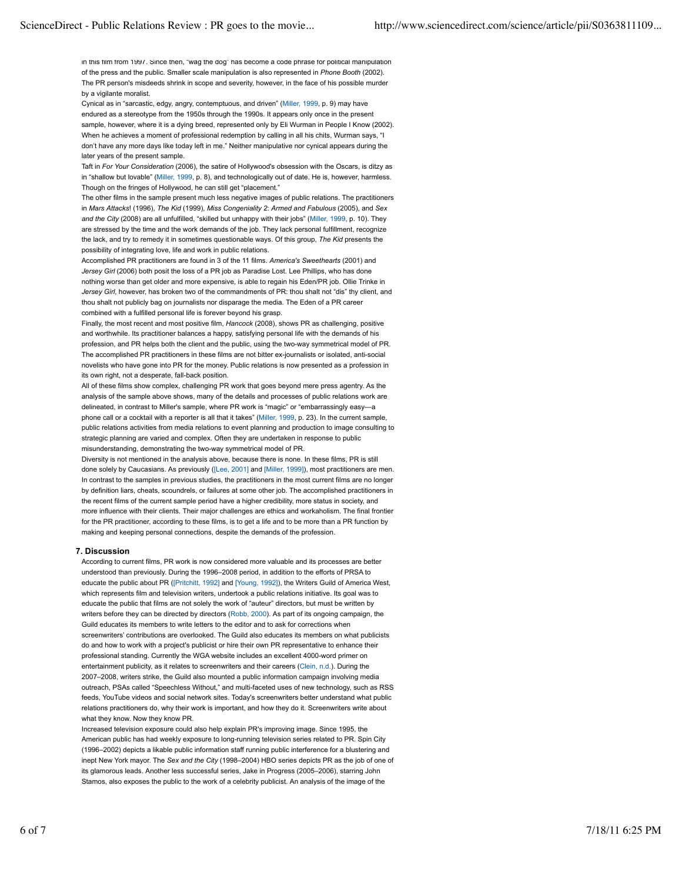in this film from 1997. Since then, "wag the dog" has become a code phrase for political manipulation of the press and the public. Smaller scale manipulation is also represented in *Phone Booth* (2002). The PR person's misdeeds shrink in scope and severity, however, in the face of his possible murder by a vigilante moralist.

Cynical as in "sarcastic, edgy, angry, contemptuous, and driven" (Miller, 1999, p. 9) may have endured as a stereotype from the 1950s through the 1990s. It appears only once in the present sample, however, where it is a dying breed, represented only by Eli Wurman in People I Know (2002). When he achieves a moment of professional redemption by calling in all his chits, Wurman says, "I don't have any more days like today left in me." Neither manipulative nor cynical appears during the later years of the present sample.

Taft in *For Your Consideration* (2006), the satire of Hollywood's obsession with the Oscars, is ditzy as in "shallow but lovable" (Miller, 1999, p. 8), and technologically out of date. He is, however, harmless. Though on the fringes of Hollywood, he can still get "placement."

The other films in the sample present much less negative images of public relations. The practitioners in *Mars Attacks*! (1996), *The Kid* (1999), *Miss Congeniality 2*: *Armed and Fabulous* (2005), and *Sex and the City* (2008) are all unfulfilled, "skilled but unhappy with their jobs" (Miller, 1999, p. 10). They are stressed by the time and the work demands of the job. They lack personal fulfillment, recognize the lack, and try to remedy it in sometimes questionable ways. Of this group, *The Kid* presents the possibility of integrating love, life and work in public relations.

Accomplished PR practitioners are found in 3 of the 11 films. *America's Sweethearts* (2001) and *Jersey Girl* (2006) both posit the loss of a PR job as Paradise Lost. Lee Phillips, who has done nothing worse than get older and more expensive, is able to regain his Eden/PR job. Ollie Trinke in *Jersey Girl*, however, has broken two of the commandments of PR: thou shalt not "dis" thy client, and thou shalt not publicly bag on journalists nor disparage the media. The Eden of a PR career combined with a fulfilled personal life is forever beyond his grasp.

Finally, the most recent and most positive film, *Hancock* (2008), shows PR as challenging, positive and worthwhile. Its practitioner balances a happy, satisfying personal life with the demands of his profession, and PR helps both the client and the public, using the two-way symmetrical model of PR. The accomplished PR practitioners in these films are not bitter ex-journalists or isolated, anti-social novelists who have gone into PR for the money. Public relations is now presented as a profession in its own right, not a desperate, fall-back position.

All of these films show complex, challenging PR work that goes beyond mere press agentry. As the analysis of the sample above shows, many of the details and processes of public relations work are delineated, in contrast to Miller's sample, where PR work is "magic" or "embarrassingly easy—a phone call or a cocktail with a reporter is all that it takes" (Miller, 1999, p. 23). In the current sample, public relations activities from media relations to event planning and production to image consulting to strategic planning are varied and complex. Often they are undertaken in response to public misunderstanding, demonstrating the two-way symmetrical model of PR.

Diversity is not mentioned in the analysis above, because there is none. In these films, PR is still done solely by Caucasians. As previously ([Lee, 2001] and [Miller, 1999]), most practitioners are men. In contrast to the samples in previous studies, the practitioners in the most current films are no longer by definition liars, cheats, scoundrels, or failures at some other job. The accomplished practitioners in the recent films of the current sample period have a higher credibility, more status in society, and more influence with their clients. Their major challenges are ethics and workaholism. The final frontier for the PR practitioner, according to these films, is to get a life and to be more than a PR function by making and keeping personal connections, despite the demands of the profession.

# **7. Discussion**

According to current films, PR work is now considered more valuable and its processes are better understood than previously. During the 1996–2008 period, in addition to the efforts of PRSA to educate the public about PR ([Pritchitt, 1992] and [Young, 1992]), the Writers Guild of America West, which represents film and television writers, undertook a public relations initiative. Its goal was to educate the public that films are not solely the work of "auteur" directors, but must be written by writers before they can be directed by directors (Robb, 2000). As part of its ongoing campaign, the Guild educates its members to write letters to the editor and to ask for corrections when screenwriters' contributions are overlooked. The Guild also educates its members on what publicists do and how to work with a project's publicist or hire their own PR representative to enhance their professional standing. Currently the WGA website includes an excellent 4000-word primer on entertainment publicity, as it relates to screenwriters and their careers (Clein, n.d.). During the 2007–2008, writers strike, the Guild also mounted a public information campaign involving media outreach, PSAs called "Speechless Without," and multi-faceted uses of new technology, such as RSS feeds, YouTube videos and social network sites. Today's screenwriters better understand what public relations practitioners do, why their work is important, and how they do it. Screenwriters write about what they know. Now they know PR.

Increased television exposure could also help explain PR's improving image. Since 1995, the American public has had weekly exposure to long-running television series related to PR. Spin City (1996–2002) depicts a likable public information staff running public interference for a blustering and inept New York mayor. The *Sex and the City* (1998–2004) HBO series depicts PR as the job of one of its glamorous leads. Another less successful series, Jake in Progress (2005–2006), starring John Stamos, also exposes the public to the work of a celebrity publicist. An analysis of the image of the